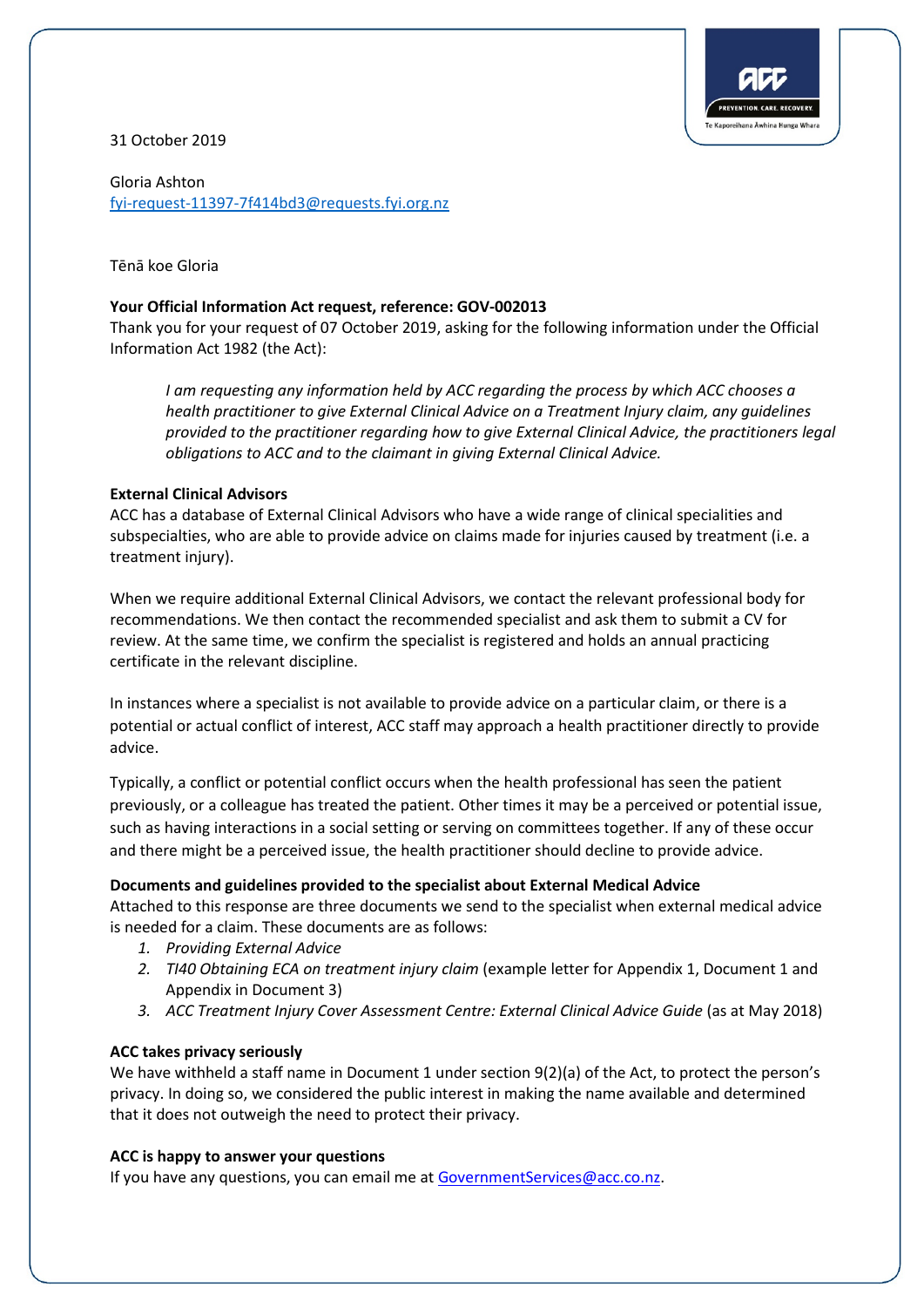

31 October 2019

Gloria Ashton [fyi-request-11397-7f414bd3@requests.fyi.org.nz](mailto:xxxxxxxxxxxxxxxxxxxxxxxxxx@xxxxxxxx.xxx.xxx.xx)

Tēnā koe Gloria

### **Your Official Information Act request, reference: GOV-002013**

Thank you for your request of 07 October 2019, asking for the following information under the Official Information Act 1982 (the Act):

*I am requesting any information held by ACC regarding the process by which ACC chooses a health practitioner to give External Clinical Advice on a Treatment Injury claim, any guidelines provided to the practitioner regarding how to give External Clinical Advice, the practitioners legal obligations to ACC and to the claimant in giving External Clinical Advice.* 

### **External Clinical Advisors**

ACC has a database of External Clinical Advisors who have a wide range of clinical specialities and subspecialties, who are able to provide advice on claims made for injuries caused by treatment (i.e. a treatment injury).

When we require additional External Clinical Advisors, we contact the relevant professional body for recommendations. We then contact the recommended specialist and ask them to submit a CV for review. At the same time, we confirm the specialist is registered and holds an annual practicing certificate in the relevant discipline.

In instances where a specialist is not available to provide advice on a particular claim, or there is a potential or actual conflict of interest, ACC staff may approach a health practitioner directly to provide advice.

Typically, a conflict or potential conflict occurs when the health professional has seen the patient previously, or a colleague has treated the patient. Other times it may be a perceived or potential issue, such as having interactions in a social setting or serving on committees together. If any of these occur and there might be a perceived issue, the health practitioner should decline to provide advice.

# **Documents and guidelines provided to the specialist about External Medical Advice**

Attached to this response are three documents we send to the specialist when external medical advice is needed for a claim. These documents are as follows:

- *1. Providing External Advice*
- *2. TI40 Obtaining ECA on treatment injury claim* (example letter for Appendix 1, Document 1 and Appendix in Document 3)
- *3. ACC Treatment Injury Cover Assessment Centre: External Clinical Advice Guide* (as at May 2018)

# **ACC takes privacy seriously**

We have withheld a staff name in Document 1 under section 9(2)(a) of the Act, to protect the person's privacy. In doing so, we considered the public interest in making the name available and determined that it does not outweigh the need to protect their privacy.

# **ACC is happy to answer your questions**

If you have any questions, you can email me at [GovernmentServices@acc.co.nz.](mailto:xxxxxxxxxxxxxxxxxx@xxx.xx.xx)